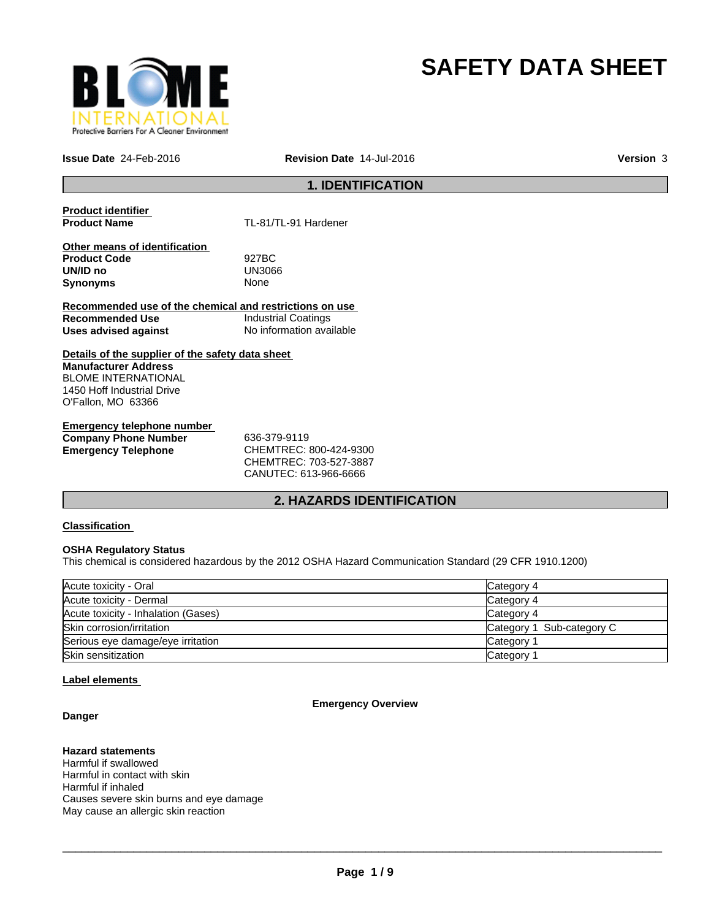

# **SAFETY DATA SHEET**

**Issue Date** 24-Feb-2016 **Revision Date** 14-Jul-2016

**Version** 3

# **1. IDENTIFICATION**

**Product identifier** 

**Product Name** TL-81/TL-91 Hardener

**Other means of identification Product Code** 927BC **UN/ID no** UN30<br>**Synonyms** None **Synonyms** 

**Recommended use of the chemical and restrictions on use Recommended Use Industrial Coatings**<br> **Uses advised against Internation** No information available **Uses advised against** 

**Details of the supplier of the safety data sheet Manufacturer Address** BLOME INTERNATIONAL 1450 Hoff Industrial Drive O'Fallon, MO 63366

**Emergency telephone number Company Phone Number** 636-379-9119 **Emergency Telephone** CHEMTREC: 800-424-9300

CHEMTREC: 703-527-3887 CANUTEC: 613-966-6666

# **2. HAZARDS IDENTIFICATION**

# **Classification**

### **OSHA Regulatory Status**

This chemical is considered hazardous by the 2012 OSHA Hazard Communication Standard (29 CFR 1910.1200)

| Acute toxicity - Oral               | Category 4                |
|-------------------------------------|---------------------------|
| Acute toxicity - Dermal             | Category 4                |
| Acute toxicity - Inhalation (Gases) | Category 4                |
| Skin corrosion/irritation           | Category 1 Sub-category C |
| Serious eye damage/eye irritation   | Category                  |
| Skin sensitization                  | Category                  |

### **Label elements**

**Danger**

### **Emergency Overview**

**Hazard statements**

Harmful if swallowed Harmful in contact with skin Harmful if inhaled Causes severe skin burns and eye damage May cause an allergic skin reaction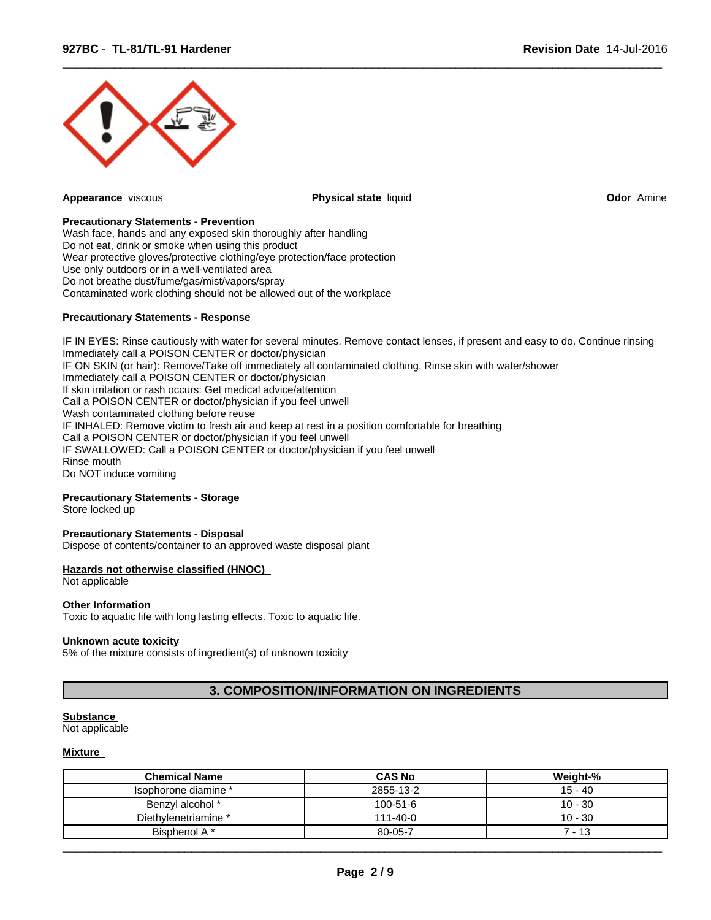

**Appearance** viscous **Physical state** liquid **Odor** Amine

 $\overline{\phantom{a}}$  ,  $\overline{\phantom{a}}$  ,  $\overline{\phantom{a}}$  ,  $\overline{\phantom{a}}$  ,  $\overline{\phantom{a}}$  ,  $\overline{\phantom{a}}$  ,  $\overline{\phantom{a}}$  ,  $\overline{\phantom{a}}$  ,  $\overline{\phantom{a}}$  ,  $\overline{\phantom{a}}$  ,  $\overline{\phantom{a}}$  ,  $\overline{\phantom{a}}$  ,  $\overline{\phantom{a}}$  ,  $\overline{\phantom{a}}$  ,  $\overline{\phantom{a}}$  ,  $\overline{\phantom{a}}$ 

#### **Precautionary Statements - Prevention**

Wash face, hands and any exposed skin thoroughly after handling Do not eat, drink or smoke when using this product Wear protective gloves/protective clothing/eye protection/face protection Use only outdoors or in a well-ventilated area Do not breathe dust/fume/gas/mist/vapors/spray Contaminated work clothing should not be allowed out of the workplace

### **Precautionary Statements - Response**

IF IN EYES: Rinse cautiously with water for several minutes. Remove contact lenses, if present and easy to do. Continue rinsing Immediately call a POISON CENTER or doctor/physician IF ON SKIN (or hair): Remove/Take off immediately all contaminated clothing. Rinse skin with water/shower Immediately call a POISON CENTER or doctor/physician If skin irritation or rash occurs: Get medical advice/attention Call a POISON CENTER or doctor/physician if you feel unwell Wash contaminated clothing before reuse IF INHALED: Remove victim to fresh air and keep at rest in a position comfortable for breathing Call a POISON CENTER or doctor/physician if you feel unwell IF SWALLOWED: Call a POISON CENTER or doctor/physician if you feel unwell Rinse mouth Do NOT induce vomiting

# **Precautionary Statements - Storage**

Store locked up

#### **Precautionary Statements - Disposal**

Dispose of contents/container to an approved waste disposal plant

#### **Hazards not otherwise classified (HNOC)**

Not applicable

### **Other Information**

Toxic to aquatic life with long lasting effects. Toxic to aquatic life.

#### **Unknown acute toxicity**

5% of the mixture consists of ingredient(s) of unknown toxicity

# **3. COMPOSITION/INFORMATION ON INGREDIENTS**

#### **Substance**

Not applicable

#### **Mixture**

| <b>Chemical Name</b> | <b>CAS No</b>  | Weight-%  |
|----------------------|----------------|-----------|
| lsophorone diamine * | 2855-13-2      | 15 - 40   |
| Benzyl alcohol *     | $100 - 51 - 6$ | $10 - 30$ |
| Diethylenetriamine * | $111 - 40 - 0$ | $10 - 30$ |
| Bisphenol A*         | 80-05-7        | - 13      |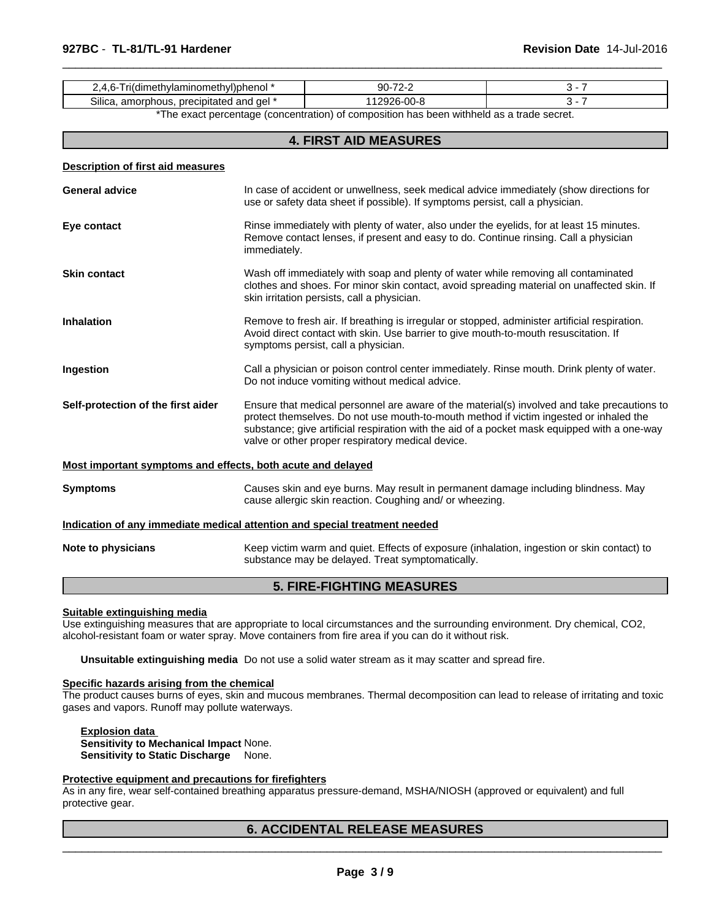| <b></b><br>00-8<br>precipitated<br>ael<br>Silica<br>ımorr<br>hous.<br>ฯ and<br>. | wonenoi<br>.air<br>war.<br>aт<br>netr<br>nınoı<br>. IV'<br>н<br>ווסו | ററ |  |
|----------------------------------------------------------------------------------|----------------------------------------------------------------------|----|--|
|                                                                                  |                                                                      |    |  |

 $\overline{\phantom{a}}$  ,  $\overline{\phantom{a}}$  ,  $\overline{\phantom{a}}$  ,  $\overline{\phantom{a}}$  ,  $\overline{\phantom{a}}$  ,  $\overline{\phantom{a}}$  ,  $\overline{\phantom{a}}$  ,  $\overline{\phantom{a}}$  ,  $\overline{\phantom{a}}$  ,  $\overline{\phantom{a}}$  ,  $\overline{\phantom{a}}$  ,  $\overline{\phantom{a}}$  ,  $\overline{\phantom{a}}$  ,  $\overline{\phantom{a}}$  ,  $\overline{\phantom{a}}$  ,  $\overline{\phantom{a}}$ 

\*The exact percentage (concentration) of composition has been withheld as a trade secret.

# **4. FIRST AID MEASURES**

| <b>Description of first aid measures</b>                    |                                                                                                                                                                                                                                                                                                                                            |
|-------------------------------------------------------------|--------------------------------------------------------------------------------------------------------------------------------------------------------------------------------------------------------------------------------------------------------------------------------------------------------------------------------------------|
| <b>General advice</b>                                       | In case of accident or unwellness, seek medical advice immediately (show directions for<br>use or safety data sheet if possible). If symptoms persist, call a physician.                                                                                                                                                                   |
| Eye contact                                                 | Rinse immediately with plenty of water, also under the eyelids, for at least 15 minutes.<br>Remove contact lenses, if present and easy to do. Continue rinsing. Call a physician<br>immediately.                                                                                                                                           |
| <b>Skin contact</b>                                         | Wash off immediately with soap and plenty of water while removing all contaminated<br>clothes and shoes. For minor skin contact, avoid spreading material on unaffected skin. If<br>skin irritation persists, call a physician.                                                                                                            |
| <b>Inhalation</b>                                           | Remove to fresh air. If breathing is irregular or stopped, administer artificial respiration.<br>Avoid direct contact with skin. Use barrier to give mouth-to-mouth resuscitation. If<br>symptoms persist, call a physician.                                                                                                               |
| Ingestion                                                   | Call a physician or poison control center immediately. Rinse mouth. Drink plenty of water.<br>Do not induce vomiting without medical advice.                                                                                                                                                                                               |
| Self-protection of the first aider                          | Ensure that medical personnel are aware of the material(s) involved and take precautions to<br>protect themselves. Do not use mouth-to-mouth method if victim ingested or inhaled the<br>substance; give artificial respiration with the aid of a pocket mask equipped with a one-way<br>valve or other proper respiratory medical device. |
| Most important symptoms and effects, both acute and delayed |                                                                                                                                                                                                                                                                                                                                            |
| <b>Symptoms</b>                                             | Causes skin and eye burns. May result in permanent damage including blindness. May<br>cause allergic skin reaction. Coughing and/ or wheezing.                                                                                                                                                                                             |
|                                                             | Indication of any immediate medical attention and special treatment needed                                                                                                                                                                                                                                                                 |
| Note to physicians                                          | Keep victim warm and quiet. Effects of exposure (inhalation, ingestion or skin contact) to<br>substance may be delayed. Treat symptomatically.                                                                                                                                                                                             |
|                                                             |                                                                                                                                                                                                                                                                                                                                            |

# **5. FIRE-FIGHTING MEASURES**

#### **Suitable extinguishing media**

Use extinguishing measures that are appropriate to local circumstances and the surrounding environment. Dry chemical, CO2, alcohol-resistant foam or water spray. Move containers from fire area if you can do it without risk.

**Unsuitable extinguishing media** Do not use a solid water stream as it may scatter and spread fire.

# **Specific hazards arising from the chemical**

The product causes burns of eyes, skin and mucous membranes. Thermal decomposition can lead to release of irritating and toxic gases and vapors. Runoff may pollute waterways.

**Explosion data Sensitivity to Mechanical Impact** None. **Sensitivity to Static Discharge** None.

#### **Protective equipment and precautions for firefighters**

As in any fire, wear self-contained breathing apparatus pressure-demand, MSHA/NIOSH (approved or equivalent) and full protective gear.

# **6. ACCIDENTAL RELEASE MEASURES**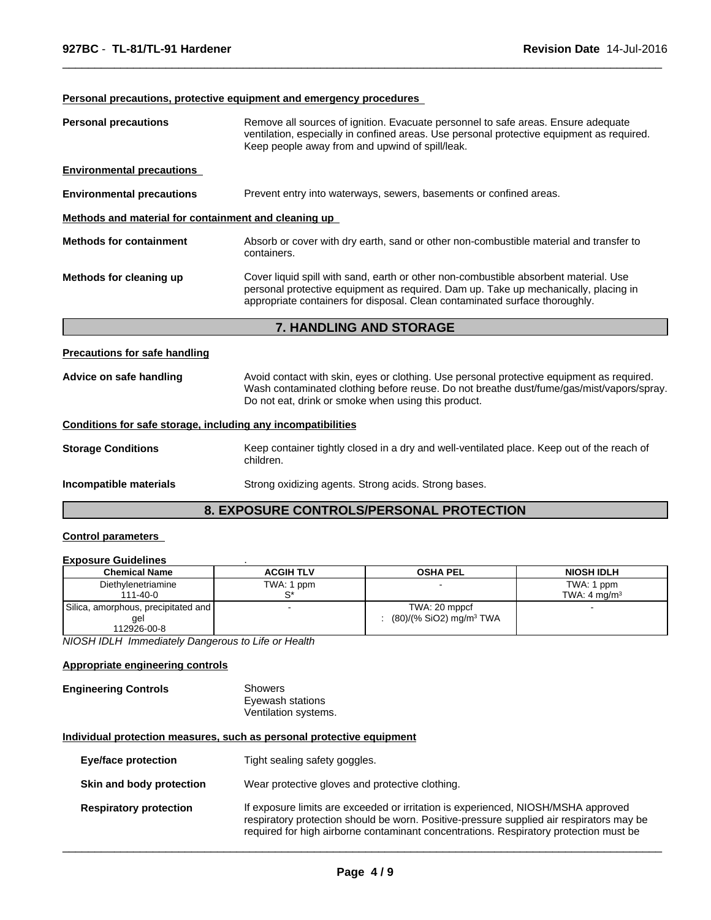# **Personal precautions, protective equipment and emergency procedures**

| Methods and material for containment and cleaning up |                                                                                                                                                                                                                                                            |
|------------------------------------------------------|------------------------------------------------------------------------------------------------------------------------------------------------------------------------------------------------------------------------------------------------------------|
| <b>Methods for containment</b>                       | Absorb or cover with dry earth, sand or other non-combustible material and transfer to<br>containers.                                                                                                                                                      |
| Methods for cleaning up                              | Cover liquid spill with sand, earth or other non-combustible absorbent material. Use<br>personal protective equipment as required. Dam up. Take up mechanically, placing in<br>appropriate containers for disposal. Clean contaminated surface thoroughly. |

 $\overline{\phantom{a}}$  ,  $\overline{\phantom{a}}$  ,  $\overline{\phantom{a}}$  ,  $\overline{\phantom{a}}$  ,  $\overline{\phantom{a}}$  ,  $\overline{\phantom{a}}$  ,  $\overline{\phantom{a}}$  ,  $\overline{\phantom{a}}$  ,  $\overline{\phantom{a}}$  ,  $\overline{\phantom{a}}$  ,  $\overline{\phantom{a}}$  ,  $\overline{\phantom{a}}$  ,  $\overline{\phantom{a}}$  ,  $\overline{\phantom{a}}$  ,  $\overline{\phantom{a}}$  ,  $\overline{\phantom{a}}$ 

# **Precautions for safe handling**

| Advice on safe handling | Avoid contact with skin, eyes or clothing. Use personal protective equipment as required. |
|-------------------------|-------------------------------------------------------------------------------------------|
|                         | Wash contaminated clothing before reuse. Do not breathe dust/fume/gas/mist/vapors/spray.  |
|                         | Do not eat, drink or smoke when using this product.                                       |

# **Conditions for safe storage, including any incompatibilities**

| <b>Storage Conditions</b> | Keep container tightly closed in a dry and well-ventilated place. Keep out of the reach of<br>children. |
|---------------------------|---------------------------------------------------------------------------------------------------------|
| Incompatible materials    | Strong oxidizing agents. Strong acids. Strong bases.                                                    |

# **8. EXPOSURE CONTROLS/PERSONAL PROTECTION**

# **Control parameters**

#### **Exposure Guidelines** .

| <b>Chemical Name</b>                | <b>ACGIH TLV</b> | <b>OSHA PEL</b>                     | <b>NIOSH IDLH</b>       |
|-------------------------------------|------------------|-------------------------------------|-------------------------|
| Diethylenetriamine                  | TWA: 1 ppm       |                                     | TWA: 1 ppm              |
| 111-40-0                            |                  |                                     | TWA: $4 \text{ ma/m}^3$ |
| Silica, amorphous, precipitated and |                  | TWA: 20 mppcf                       |                         |
| gel                                 |                  | (80)/(% SiO2) mg/m <sup>3</sup> TWA |                         |
| 112926-00-8                         |                  |                                     |                         |

*NIOSH IDLH Immediately Dangerous to Life or Health*

# **Appropriate engineering controls**

#### **Engineering Controls** Showers Eyewash stations Ventilation systems.

## **Individual protection measures, such as personal protective equipment**

| <b>Eye/face protection</b>    | Tight sealing safety goggles.                                                                                                                                                                                                                                          |
|-------------------------------|------------------------------------------------------------------------------------------------------------------------------------------------------------------------------------------------------------------------------------------------------------------------|
| Skin and body protection      | Wear protective gloves and protective clothing.                                                                                                                                                                                                                        |
| <b>Respiratory protection</b> | If exposure limits are exceeded or irritation is experienced, NIOSH/MSHA approved<br>respiratory protection should be worn. Positive-pressure supplied air respirators may be<br>required for high airborne contaminant concentrations. Respiratory protection must be |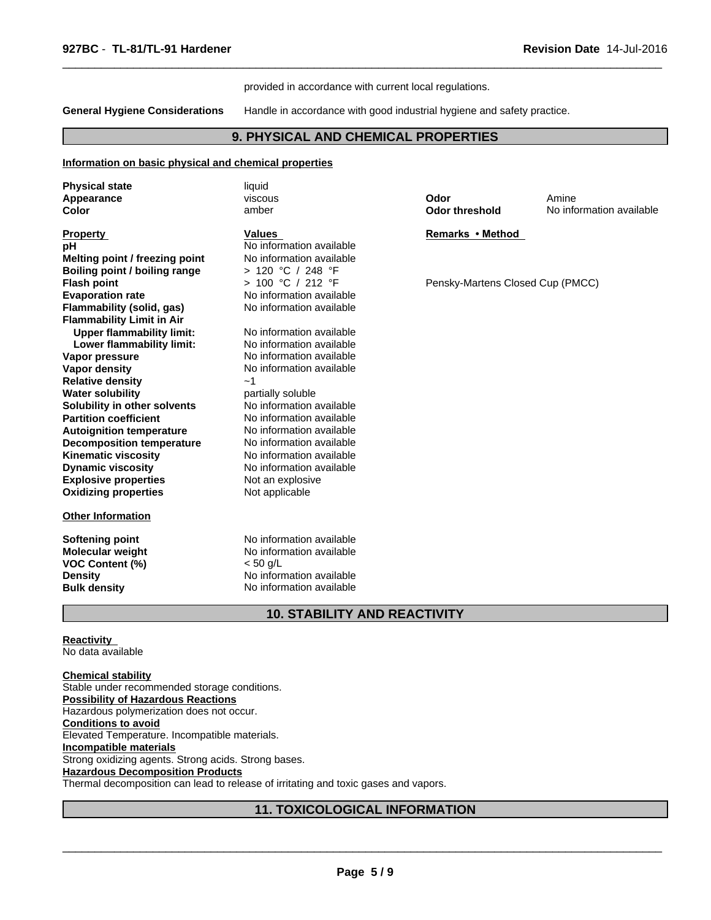#### provided in accordance with current local regulations.

**General Hygiene Considerations** Handle in accordance with good industrial hygiene and safety practice.

 $\overline{\phantom{a}}$  ,  $\overline{\phantom{a}}$  ,  $\overline{\phantom{a}}$  ,  $\overline{\phantom{a}}$  ,  $\overline{\phantom{a}}$  ,  $\overline{\phantom{a}}$  ,  $\overline{\phantom{a}}$  ,  $\overline{\phantom{a}}$  ,  $\overline{\phantom{a}}$  ,  $\overline{\phantom{a}}$  ,  $\overline{\phantom{a}}$  ,  $\overline{\phantom{a}}$  ,  $\overline{\phantom{a}}$  ,  $\overline{\phantom{a}}$  ,  $\overline{\phantom{a}}$  ,  $\overline{\phantom{a}}$ 

# **9. PHYSICAL AND CHEMICAL PROPERTIES**

#### **Information on basic physical and chemical properties**

| <b>Physical state</b>            | liquid                   |                                  |                          |
|----------------------------------|--------------------------|----------------------------------|--------------------------|
| Appearance                       | viscous                  | Odor                             | Amine                    |
| Color                            | amber                    | <b>Odor threshold</b>            | No information available |
| <b>Property</b>                  | <b>Values</b>            | Remarks • Method                 |                          |
| рH                               | No information available |                                  |                          |
| Melting point / freezing point   | No information available |                                  |                          |
| Boiling point / boiling range    | > 120 °C / 248 °F        |                                  |                          |
| <b>Flash point</b>               | > 100 °C / 212 °F        | Pensky-Martens Closed Cup (PMCC) |                          |
| <b>Evaporation rate</b>          | No information available |                                  |                          |
| Flammability (solid, gas)        | No information available |                                  |                          |
| <b>Flammability Limit in Air</b> |                          |                                  |                          |
| <b>Upper flammability limit:</b> | No information available |                                  |                          |
| Lower flammability limit:        | No information available |                                  |                          |
| Vapor pressure                   | No information available |                                  |                          |
| <b>Vapor density</b>             | No information available |                                  |                          |
| <b>Relative density</b>          | ~1                       |                                  |                          |
| <b>Water solubility</b>          | partially soluble        |                                  |                          |
| Solubility in other solvents     | No information available |                                  |                          |
| <b>Partition coefficient</b>     | No information available |                                  |                          |
| <b>Autoignition temperature</b>  | No information available |                                  |                          |
| <b>Decomposition temperature</b> | No information available |                                  |                          |
| <b>Kinematic viscosity</b>       | No information available |                                  |                          |
| <b>Dynamic viscosity</b>         | No information available |                                  |                          |
| <b>Explosive properties</b>      | Not an explosive         |                                  |                          |
| <b>Oxidizing properties</b>      | Not applicable           |                                  |                          |
| <b>Other Information</b>         |                          |                                  |                          |
| <b>Softening point</b>           | No information available |                                  |                          |
| Molecular weight                 | No information available |                                  |                          |
| VOC Content (%)                  | $< 50$ g/L               |                                  |                          |
| <b>Density</b>                   | No information available |                                  |                          |
| <b>Bulk density</b>              | No information available |                                  |                          |
|                                  |                          |                                  |                          |

# **Reactivity**

No data available

**Chemical stability** Stable under recommended storage conditions. **Possibility of Hazardous Reactions** Hazardous polymerization does not occur. **Conditions to avoid** Elevated Temperature. Incompatible materials. **Incompatible materials** Strong oxidizing agents. Strong acids. Strong bases. **Hazardous Decomposition Products** Thermal decomposition can lead to release of irritating and toxic gases and vapors.

# **11. TOXICOLOGICAL INFORMATION**

**10. STABILITY AND REACTIVITY**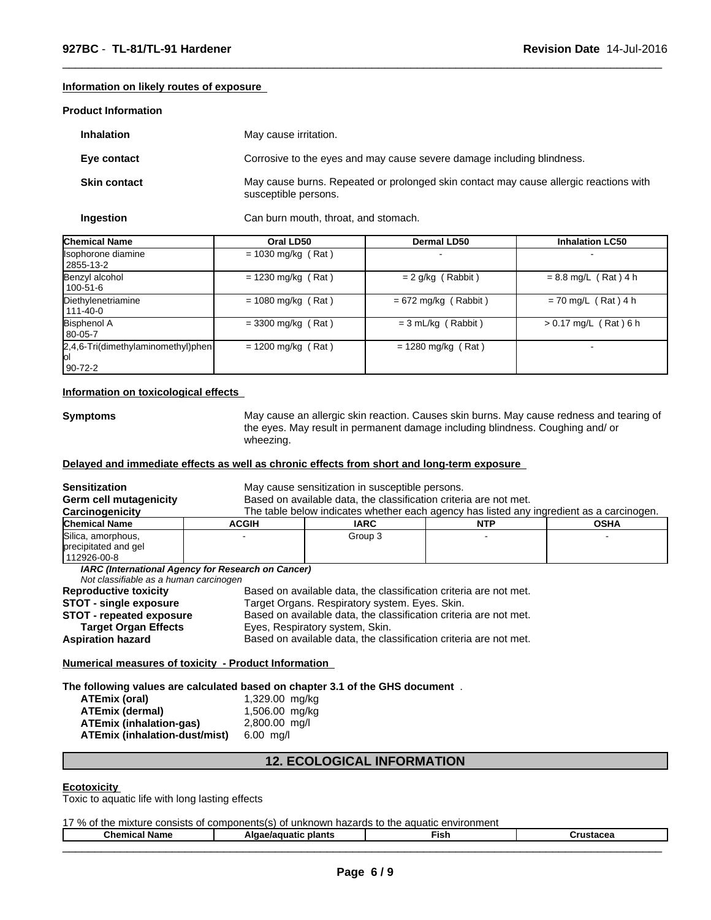#### **Information on likely routes of exposure**

#### **Product Information**

| <b>Inhalation</b>   | May cause irritation.                                                                                         |
|---------------------|---------------------------------------------------------------------------------------------------------------|
| Eye contact         | Corrosive to the eyes and may cause severe damage including blindness.                                        |
| <b>Skin contact</b> | May cause burns. Repeated or prolonged skin contact may cause allergic reactions with<br>susceptible persons. |

 $\overline{\phantom{a}}$  ,  $\overline{\phantom{a}}$  ,  $\overline{\phantom{a}}$  ,  $\overline{\phantom{a}}$  ,  $\overline{\phantom{a}}$  ,  $\overline{\phantom{a}}$  ,  $\overline{\phantom{a}}$  ,  $\overline{\phantom{a}}$  ,  $\overline{\phantom{a}}$  ,  $\overline{\phantom{a}}$  ,  $\overline{\phantom{a}}$  ,  $\overline{\phantom{a}}$  ,  $\overline{\phantom{a}}$  ,  $\overline{\phantom{a}}$  ,  $\overline{\phantom{a}}$  ,  $\overline{\phantom{a}}$ 

**Ingestion** Can burn mouth, throat, and stomach.

| <b>Chemical Name</b>                                  | Oral LD50            | <b>Dermal LD50</b>     | <b>Inhalation LC50</b>  |
|-------------------------------------------------------|----------------------|------------------------|-------------------------|
| Isophorone diamine<br>2855-13-2                       | $= 1030$ mg/kg (Rat) |                        |                         |
| Benzyl alcohol<br>100-51-6                            | $= 1230$ mg/kg (Rat) | $= 2$ g/kg (Rabbit)    | $= 8.8$ mg/L (Rat) 4 h  |
| Diethylenetriamine<br>  111-40-0                      | $= 1080$ mg/kg (Rat) | $= 672$ mg/kg (Rabbit) | $= 70$ mg/L (Rat) 4 h   |
| <b>Bisphenol A</b><br>80-05-7                         | $=$ 3300 mg/kg (Rat) | $= 3$ mL/kg (Rabbit)   | $> 0.17$ mg/L (Rat) 6 h |
| 2,4,6-Tri(dimethylaminomethyl)phen<br>ЮI<br>$90-72-2$ | $= 1200$ mg/kg (Rat) | $= 1280$ mg/kg (Rat)   |                         |

#### **Information on toxicological effects**

**Symptoms** May cause an allergic skin reaction. Causes skin burns. May cause redness and tearing of the eyes. May result in permanent damage including blindness. Coughing and/ or wheezing.

# **Delayed and immediate effects as well as chronic effects from short and long-term exposure**

| <b>Sensitization</b><br><b>Germ cell mutagenicity</b><br>Carcinogenicity                                                                                    |                                                                                                                                                                                                                                                                                                  | May cause sensitization in susceptible persons.<br>Based on available data, the classification criteria are not met. | The table below indicates whether each agency has listed any ingredient as a carcinogen. |             |
|-------------------------------------------------------------------------------------------------------------------------------------------------------------|--------------------------------------------------------------------------------------------------------------------------------------------------------------------------------------------------------------------------------------------------------------------------------------------------|----------------------------------------------------------------------------------------------------------------------|------------------------------------------------------------------------------------------|-------------|
| <b>Chemical Name</b>                                                                                                                                        | <b>ACGIH</b>                                                                                                                                                                                                                                                                                     | <b>IARC</b>                                                                                                          | <b>NTP</b>                                                                               | <b>OSHA</b> |
| Silica, amorphous,<br>precipitated and gel<br>112926-00-8                                                                                                   |                                                                                                                                                                                                                                                                                                  | Group 3                                                                                                              |                                                                                          |             |
| Not classifiable as a human carcinogen                                                                                                                      | IARC (International Agency for Research on Cancer)                                                                                                                                                                                                                                               |                                                                                                                      |                                                                                          |             |
| <b>Reproductive toxicity</b><br><b>STOT - single exposure</b><br><b>STOT - repeated exposure</b><br><b>Target Organ Effects</b><br><b>Aspiration hazard</b> | Based on available data, the classification criteria are not met.<br>Target Organs. Respiratory system. Eyes. Skin.<br>Based on available data, the classification criteria are not met.<br>Eyes, Respiratory system, Skin.<br>Based on available data, the classification criteria are not met. |                                                                                                                      |                                                                                          |             |

**Numerical measures of toxicity - Product Information** 

**The following values are calculated based on chapter 3.1 of the GHS document** .

| ATEmix (oral)                        | 1,329.00 mg/kg |
|--------------------------------------|----------------|
| ATEmix (dermal)                      | 1,506.00 mg/kg |
| <b>ATEmix (inhalation-gas)</b>       | 2,800.00 mg/l  |
| <b>ATEmix (inhalation-dust/mist)</b> | $6.00$ ma/l    |

# **12. ECOLOGICAL INFORMATION**

#### **Ecotoxicity**

Toxic to aquatic life with long lasting effects

17 % of the mixture consists of components(s) of unknown hazards to the aquatic environment

| $\sim$<br>.<br>Chemical Name | plants<br>Algae/aguatic | Fish. | $"$ ructocos<br>usiacea |  |
|------------------------------|-------------------------|-------|-------------------------|--|
|                              |                         |       | _______________         |  |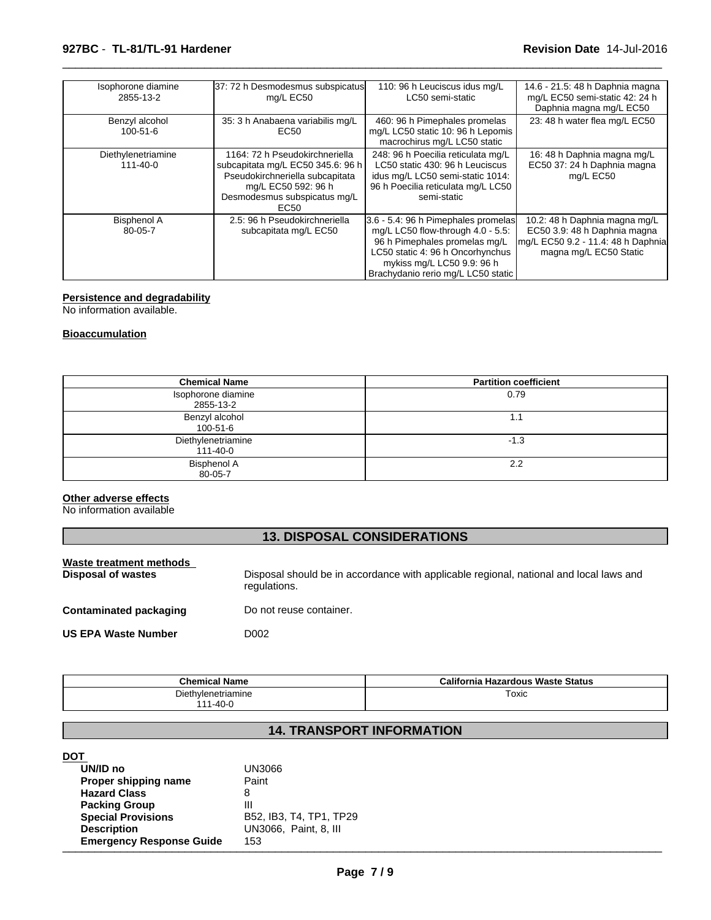# **927BC** - **TL-81/TL-91 Hardener Revision Date** 14-Jul-2016

| Isophorone diamine<br>2855-13-2      | 37: 72 h Desmodesmus subspicatus<br>mg/L EC50                                                                                                                         | 110: 96 h Leuciscus idus mg/L<br>LC50 semi-static                                                                                                                                                                 | 14.6 - 21.5: 48 h Daphnia magna<br>mg/L EC50 semi-static 42: 24 h<br>Daphnia magna mg/L EC50                                  |
|--------------------------------------|-----------------------------------------------------------------------------------------------------------------------------------------------------------------------|-------------------------------------------------------------------------------------------------------------------------------------------------------------------------------------------------------------------|-------------------------------------------------------------------------------------------------------------------------------|
| Benzyl alcohol<br>$100 - 51 - 6$     | 35: 3 h Anabaena variabilis mg/L<br>EC50                                                                                                                              | 460: 96 h Pimephales promelas<br>mg/L LC50 static 10: 96 h Lepomis<br>macrochirus mg/L LC50 static                                                                                                                | 23: 48 h water flea mg/L EC50                                                                                                 |
| Diethylenetriamine<br>$111 - 40 - 0$ | 1164: 72 h Pseudokirchneriella<br>subcapitata mg/L EC50 345.6: 96 h<br>Pseudokirchneriella subcapitata<br>mg/L EC50 592: 96 h<br>Desmodesmus subspicatus mg/L<br>EC50 | 248: 96 h Poecilia reticulata mg/L<br>LC50 static 430: 96 h Leuciscus<br>idus mg/L LC50 semi-static 1014:<br>96 h Poecilia reticulata mg/L LC50<br>semi-static                                                    | 16: 48 h Daphnia magna mg/L<br>EC50 37: 24 h Daphnia magna<br>mg/L EC50                                                       |
| <b>Bisphenol A</b><br>80-05-7        | 2.5: 96 h Pseudokirchneriella<br>subcapitata mg/L EC50                                                                                                                | 3.6 - 5.4: 96 h Pimephales promelas<br>mg/L LC50 flow-through 4.0 - 5.5:<br>96 h Pimephales promelas mg/L<br>LC50 static 4: 96 h Oncorhynchus<br>mykiss mg/L LC50 9.9: 96 h<br>Brachydanio rerio mg/L LC50 static | 10.2: 48 h Daphnia magna mg/L<br>EC50 3.9: 48 h Daphnia magna<br>mg/L EC50 9.2 - 11.4: 48 h Daphnia<br>magna mg/L EC50 Static |

 $\overline{\phantom{a}}$  ,  $\overline{\phantom{a}}$  ,  $\overline{\phantom{a}}$  ,  $\overline{\phantom{a}}$  ,  $\overline{\phantom{a}}$  ,  $\overline{\phantom{a}}$  ,  $\overline{\phantom{a}}$  ,  $\overline{\phantom{a}}$  ,  $\overline{\phantom{a}}$  ,  $\overline{\phantom{a}}$  ,  $\overline{\phantom{a}}$  ,  $\overline{\phantom{a}}$  ,  $\overline{\phantom{a}}$  ,  $\overline{\phantom{a}}$  ,  $\overline{\phantom{a}}$  ,  $\overline{\phantom{a}}$ 

#### **Persistence and degradability**

No information available.

# **Bioaccumulation**

| <b>Chemical Name</b>                 | <b>Partition coefficient</b> |
|--------------------------------------|------------------------------|
| Isophorone diamine<br>2855-13-2      | 0.79                         |
| Benzyl alcohol<br>100-51-6           | 1.1                          |
| Diethylenetriamine<br>$111 - 40 - 0$ | $-1.3$                       |
| <b>Bisphenol A</b><br>80-05-7        | 2.2                          |

# **Other adverse effects**

No information available

# **13. DISPOSAL CONSIDERATIONS**

| Waste treatment methods<br>Disposal of wastes | Disposal should be in accordance with applicable regional, national and local laws and<br>regulations. |
|-----------------------------------------------|--------------------------------------------------------------------------------------------------------|
| <b>Contaminated packaging</b>                 | Do not reuse container.                                                                                |
| <b>US EPA Waste Number</b>                    | D002                                                                                                   |

| <b>Chemical Name</b> | California Hazardous Waste Status |
|----------------------|-----------------------------------|
| Diethylenetriamine   | Toxic                             |
| 1-40-0               |                                   |

# **14. TRANSPORT INFORMATION**

# **DOT**

| UN/ID no                        | UN3066                  |
|---------------------------------|-------------------------|
| Proper shipping name            | Paint                   |
| <b>Hazard Class</b>             |                         |
| <b>Packing Group</b>            | Ш                       |
| <b>Special Provisions</b>       | B52, IB3, T4, TP1, TP29 |
| <b>Description</b>              | UN3066, Paint, 8, III   |
| <b>Emergency Response Guide</b> | 153                     |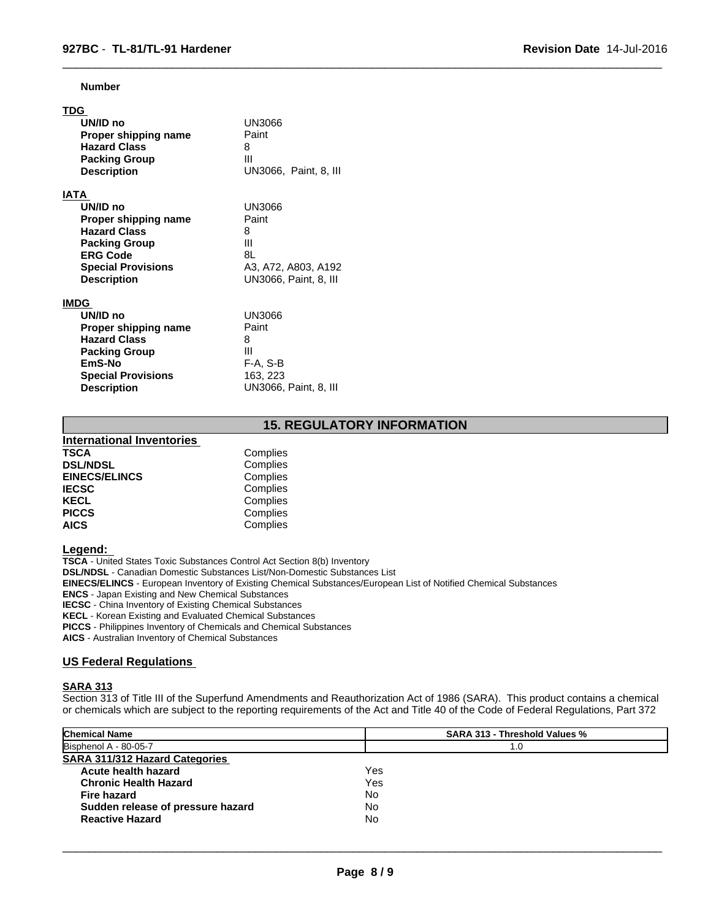**Number**

| TDG                       |                       |
|---------------------------|-----------------------|
| UN/ID no                  | UN3066                |
| Proper shipping name      | Paint                 |
| <b>Hazard Class</b>       | 8                     |
| <b>Packing Group</b>      | Ш                     |
| <b>Description</b>        | UN3066, Paint, 8, III |
| IATA                      |                       |
| UN/ID no                  | UN3066                |
| Proper shipping name      | Paint                 |
| <b>Hazard Class</b>       | 8                     |
| <b>Packing Group</b>      | Ш                     |
| <b>ERG Code</b>           | 8L                    |
| <b>Special Provisions</b> | A3, A72, A803, A192   |
| <b>Description</b>        | UN3066, Paint, 8, III |
| <b>IMDG</b>               |                       |
| UN/ID no                  | UN3066                |
| Proper shipping name      | Paint                 |
| <b>Hazard Class</b>       | 8                     |
| <b>Packing Group</b>      | Ш                     |
| EmS-No                    | F-A, S-B              |
| <b>Special Provisions</b> | 163, 223              |
| <b>Description</b>        | UN3066, Paint, 8, III |

# **15. REGULATORY INFORMATION**

 $\overline{\phantom{a}}$  ,  $\overline{\phantom{a}}$  ,  $\overline{\phantom{a}}$  ,  $\overline{\phantom{a}}$  ,  $\overline{\phantom{a}}$  ,  $\overline{\phantom{a}}$  ,  $\overline{\phantom{a}}$  ,  $\overline{\phantom{a}}$  ,  $\overline{\phantom{a}}$  ,  $\overline{\phantom{a}}$  ,  $\overline{\phantom{a}}$  ,  $\overline{\phantom{a}}$  ,  $\overline{\phantom{a}}$  ,  $\overline{\phantom{a}}$  ,  $\overline{\phantom{a}}$  ,  $\overline{\phantom{a}}$ 

| <b>International Inventories</b> |          |  |
|----------------------------------|----------|--|
| TSCA                             | Complies |  |
| <b>DSL/NDSL</b>                  | Complies |  |
| <b>EINECS/ELINCS</b>             | Complies |  |
| <b>IECSC</b>                     | Complies |  |
| KECL                             | Complies |  |
| <b>PICCS</b>                     | Complies |  |
| <b>AICS</b>                      | Complies |  |
|                                  |          |  |

## **Legend:**

**TSCA** - United States Toxic Substances Control Act Section 8(b) Inventory **DSL/NDSL** - Canadian Domestic Substances List/Non-Domestic Substances List **EINECS/ELINCS** - European Inventory of Existing Chemical Substances/European List of Notified Chemical Substances **ENCS** - Japan Existing and New Chemical Substances **IECSC** - China Inventory of Existing Chemical Substances **KECL** - Korean Existing and Evaluated Chemical Substances **PICCS** - Philippines Inventory of Chemicals and Chemical Substances

**AICS** - Australian Inventory of Chemical Substances

### **US Federal Regulations**

#### **SARA 313**

Section 313 of Title III of the Superfund Amendments and Reauthorization Act of 1986 (SARA). This product contains a chemical or chemicals which are subject to the reporting requirements of the Act and Title 40 of the Code of Federal Regulations, Part 372

| <b>Chemical Name</b>                  | <b>SARA 313 - Threshold Values %</b> |  |
|---------------------------------------|--------------------------------------|--|
| Bisphenol A - 80-05-7                 | 1.0                                  |  |
| <b>SARA 311/312 Hazard Categories</b> |                                      |  |
| Acute health hazard                   | Yes                                  |  |
| <b>Chronic Health Hazard</b>          | Yes                                  |  |
| Fire hazard                           | No                                   |  |
| Sudden release of pressure hazard     | No                                   |  |
| <b>Reactive Hazard</b>                | No                                   |  |